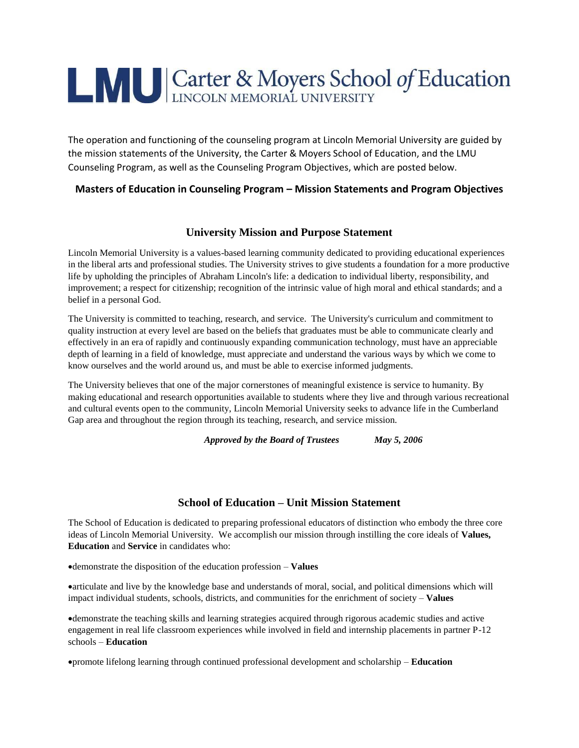# **LAU Carter & Moyers School of Education**

The operation and functioning of the counseling program at Lincoln Memorial University are guided by the mission statements of the University, the Carter & Moyers School of Education, and the LMU Counseling Program, as well as the Counseling Program Objectives, which are posted below.

#### **Masters of Education in Counseling Program – Mission Statements and Program Objectives**

### **University Mission and Purpose Statement**

Lincoln Memorial University is a values-based learning community dedicated to providing educational experiences in the liberal arts and professional studies. The University strives to give students a foundation for a more productive life by upholding the principles of Abraham Lincoln's life: a dedication to individual liberty, responsibility, and improvement; a respect for citizenship; recognition of the intrinsic value of high moral and ethical standards; and a belief in a personal God.

The University is committed to teaching, research, and service. The University's curriculum and commitment to quality instruction at every level are based on the beliefs that graduates must be able to communicate clearly and effectively in an era of rapidly and continuously expanding communication technology, must have an appreciable depth of learning in a field of knowledge, must appreciate and understand the various ways by which we come to know ourselves and the world around us, and must be able to exercise informed judgments.

The University believes that one of the major cornerstones of meaningful existence is service to humanity. By making educational and research opportunities available to students where they live and through various recreational and cultural events open to the community, Lincoln Memorial University seeks to advance life in the Cumberland Gap area and throughout the region through its teaching, research, and service mission.

*Approved by the Board of Trustees May 5, 2006*

# **School of Education – Unit Mission Statement**

The School of Education is dedicated to preparing professional educators of distinction who embody the three core ideas of Lincoln Memorial University. We accomplish our mission through instilling the core ideals of **Values, Education** and **Service** in candidates who:

demonstrate the disposition of the education profession – **Values**

articulate and live by the knowledge base and understands of moral, social, and political dimensions which will impact individual students, schools, districts, and communities for the enrichment of society – **Values**

demonstrate the teaching skills and learning strategies acquired through rigorous academic studies and active engagement in real life classroom experiences while involved in field and internship placements in partner P-12 schools – **Education**

promote lifelong learning through continued professional development and scholarship – **Education**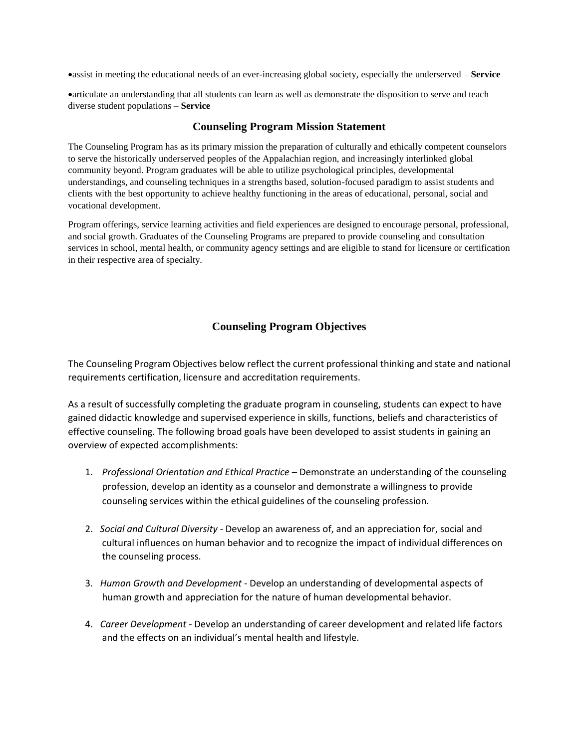assist in meeting the educational needs of an ever-increasing global society, especially the underserved – **Service**

articulate an understanding that all students can learn as well as demonstrate the disposition to serve and teach diverse student populations – **Service**

#### **Counseling Program Mission Statement**

The Counseling Program has as its primary mission the preparation of culturally and ethically competent counselors to serve the historically underserved peoples of the Appalachian region, and increasingly interlinked global community beyond. Program graduates will be able to utilize psychological principles, developmental understandings, and counseling techniques in a strengths based, solution-focused paradigm to assist students and clients with the best opportunity to achieve healthy functioning in the areas of educational, personal, social and vocational development.

Program offerings, service learning activities and field experiences are designed to encourage personal, professional, and social growth. Graduates of the Counseling Programs are prepared to provide counseling and consultation services in school, mental health, or community agency settings and are eligible to stand for licensure or certification in their respective area of specialty.

# **Counseling Program Objectives**

The Counseling Program Objectives below reflect the current professional thinking and state and national requirements certification, licensure and accreditation requirements.

As a result of successfully completing the graduate program in counseling, students can expect to have gained didactic knowledge and supervised experience in skills, functions, beliefs and characteristics of effective counseling. The following broad goals have been developed to assist students in gaining an overview of expected accomplishments:

- 1. *Professional Orientation and Ethical Practice* Demonstrate an understanding of the counseling profession, develop an identity as a counselor and demonstrate a willingness to provide counseling services within the ethical guidelines of the counseling profession.
- 2. *Social and Cultural Diversity* Develop an awareness of, and an appreciation for, social and cultural influences on human behavior and to recognize the impact of individual differences on the counseling process.
- 3. *Human Growth and Development* Develop an understanding of developmental aspects of human growth and appreciation for the nature of human developmental behavior.
- 4. *Career Development* Develop an understanding of career development and related life factors and the effects on an individual's mental health and lifestyle.